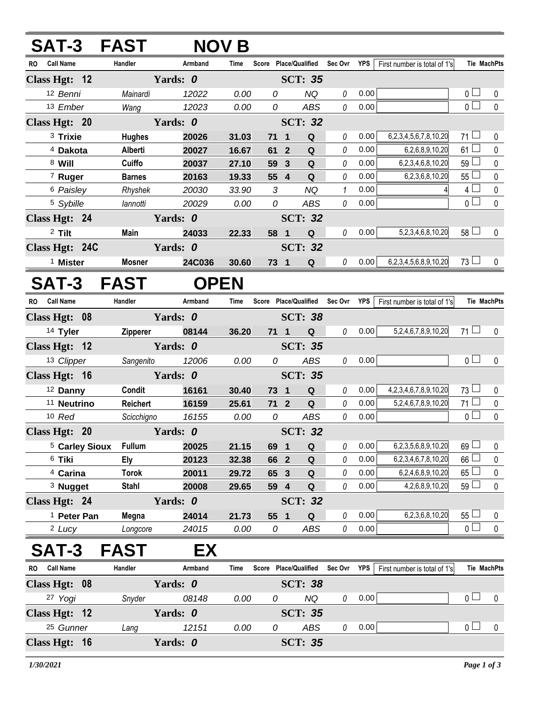| SAT-3 FAST                |                 | <b>NOV B</b> |       |                       |                         |                       |             |            |                                |                 |                    |
|---------------------------|-----------------|--------------|-------|-----------------------|-------------------------|-----------------------|-------------|------------|--------------------------------|-----------------|--------------------|
| <b>Call Name</b><br>RO.   | Handler         | Armband      | Time  |                       |                         | Score Place/Qualified | Sec Ovr YPS |            | First number is total of 1's   |                 | Tie MachPts        |
| Class Hgt: 12             |                 | Yards: 0     |       |                       |                         | <b>SCT: 35</b>        |             |            |                                |                 |                    |
| 12 Benni                  | Mainardi        | 12022        | 0.00  | 0                     |                         | <b>NQ</b>             | 0           | 0.00       |                                | 0 <sub>l</sub>  | 0                  |
| 13 Ember                  | Wang            | 12023        | 0.00  | 0                     |                         | <b>ABS</b>            | 0           | 0.00       |                                | $\overline{0}$  | $\mathbf 0$        |
| Class Hgt: 20             |                 | Yards: 0     |       |                       |                         | <b>SCT: 32</b>        |             |            |                                |                 |                    |
| <sup>3</sup> Trixie       | <b>Hughes</b>   | 20026        | 31.03 | 71                    | $\overline{\mathbf{1}}$ | Q                     | 0           | 0.00       | 6,2,3,4,5,6,7,8,10,20          | $71 \Box$       | 0                  |
| <sup>4</sup> Dakota       | Alberti         | 20027        | 16.67 | 61                    | $\overline{2}$          | Q                     | 0           | 0.00       | 6,2,6,8,9,10,20                | 61 <sup>1</sup> | 0                  |
| 8 Will                    | Cuiffo          | 20037        | 27.10 | 59                    | $\mathbf{3}$            | $\mathbf Q$           | 0           | 0.00       | 6,2,3,4,6,8,10,20              | 59 L            | $\pmb{0}$          |
| 7 Ruger                   | <b>Barnes</b>   | 20163        | 19.33 | 55                    | $\overline{\mathbf{4}}$ | ${\bf Q}$             | 0           | 0.00       | 6,2,3,6,8,10,20                | 55              | 0                  |
| 6 Paisley                 | Rhyshek         | 20030        | 33.90 | $\mathfrak{Z}$        |                         | <b>NQ</b>             | 1           | 0.00       |                                | 4 <sup>1</sup>  | $\pmb{0}$          |
| 5 Sybille                 | lannotti        | 20029        | 0.00  | 0                     |                         | <b>ABS</b>            | 0           | 0.00       |                                | 0 <sup>1</sup>  | $\pmb{0}$          |
| Class Hgt: 24             |                 | Yards: 0     |       |                       |                         | <b>SCT: 32</b>        |             |            |                                |                 |                    |
| <sup>2</sup> Tilt         | Main            | 24033        | 22.33 | 58 1                  |                         | ${\bf Q}$             | 0           | 0.00       | 5,2,3,4,6,8,10,20              | $58 \Box$       | $\mathbf 0$        |
| Class Hgt: 24C            |                 | Yards: 0     |       |                       |                         | <b>SCT: 32</b>        |             |            |                                |                 |                    |
| <sup>1</sup> Mister       | <b>Mosner</b>   | 24C036       | 30.60 | 73 1                  |                         | Q                     | 0           | 0.00       | 6,2,3,4,5,6,8,9,10,20          | $73\Box$        | 0                  |
| SAT-3 FAST                |                 | <b>OPEN</b>  |       |                       |                         |                       |             |            |                                |                 |                    |
| RO Call Name              | Handler         | Armband      | Time  | Score Place/Qualified |                         |                       | Sec Ovr     | YPS        | First number is total of 1's   |                 | <b>Tie MachPts</b> |
| Class Hgt: 08             |                 | Yards: 0     |       |                       |                         | <b>SCT: 38</b>        |             |            |                                |                 |                    |
| 14 Tyler                  | <b>Zipperer</b> | 08144        | 36.20 | $71 \quad 1$          |                         | Q                     | 0           | 0.00       | 5,2,4,6,7,8,9,10,20            | $71 \Box$       | 0                  |
| Class Hgt: 12             |                 | Yards: 0     |       |                       |                         | <b>SCT: 35</b>        |             |            |                                |                 |                    |
| 13 Clipper                | Sangenito       | 12006        | 0.00  | 0                     |                         | <b>ABS</b>            | 0           | 0.00       |                                | 0 <sub>1</sub>  | $\pmb{0}$          |
| Class Hgt: 16             |                 | Yards: 0     |       |                       |                         | <b>SCT: 35</b>        |             |            |                                |                 |                    |
| 12 Danny                  | Condit          | 16161        | 30.40 | 73 1                  |                         | $\mathbf Q$           | 0           | 0.00       | 4, 2, 3, 4, 6, 7, 8, 9, 10, 20 | $73\Box$        | 0                  |
| <sup>11</sup> Neutrino    | <b>Reichert</b> | 16159        | 25.61 | 712                   |                         | $\mathbf Q$           | 0           | 0.00       | 5,2,4,6,7,8,9,10,20            | $71 \Box$       | $\pmb{0}$          |
| 10 Red                    | Scicchigno      | 16155        | 0.00  | 0                     |                         | <b>ABS</b>            | 0           | 0.00       |                                | 0 <sup>1</sup>  | $\pmb{0}$          |
| Class Hgt: 20             |                 | Yards: 0     |       |                       |                         | <b>SCT: 32</b>        |             |            |                                |                 |                    |
| <sup>5</sup> Carley Sioux | <b>Fullum</b>   | 20025        | 21.15 | 69 1                  |                         | Q                     | 0           | 0.00       | 6,2,3,5,6,8,9,10,20            | $69$ $\Box$     | 0                  |
| <sup>6</sup> Tiki         | <b>Ely</b>      | 20123        | 32.38 | 66 2                  |                         | $\mathbf Q$           | 0           | 0.00       | 6,2,3,4,6,7,8,10,20            | 66              | 0                  |
| <sup>4</sup> Carina       | <b>Torok</b>    | 20011        | 29.72 | 65 3                  |                         | $\mathbf Q$           | 0           | 0.00       | 6,2,4,6,8,9,10,20              | $65 -$          | $\pmb{0}$          |
| <sup>3</sup> Nugget       | <b>Stahl</b>    | 20008        | 29.65 | 59 4                  |                         | $\mathbf Q$           | 0           | 0.00       | 4,2,6,8,9,10,20                | $59 -$          | $\pmb{0}$          |
| Class Hgt: 24             |                 | Yards: 0     |       |                       |                         | <b>SCT: 32</b>        |             |            |                                |                 |                    |
| <sup>1</sup> Peter Pan    | Megna           | 24014        | 21.73 | 55 1                  |                         | Q                     | 0           | 0.00       | 6,2,3,6,8,10,20                | 55L             | 0                  |
| <sup>2</sup> Lucy         | Longcore        | 24015        | 0.00  | 0                     |                         | <b>ABS</b>            | 0           | 0.00       |                                | $\overline{0}$  | $\mathbf 0$        |
| <b>SAT-3</b>              | <b>FAST</b>     | EX           |       |                       |                         |                       |             |            |                                |                 |                    |
| RO Call Name              | Handler         | Armband      | Time  | Score Place/Qualified |                         |                       | Sec Ovr     | <b>YPS</b> | First number is total of 1's   |                 | Tie MachPts        |
| Class Hgt: 08             |                 | Yards: 0     |       |                       |                         | <b>SCT: 38</b>        |             |            |                                |                 |                    |
| 27 Yogi                   | Snyder          | 08148        | 0.00  | 0                     |                         | <b>NQ</b>             | 0           | 0.00       |                                | 0 <sub>1</sub>  | 0                  |
| Class Hgt: 12             |                 | Yards: 0     |       |                       |                         | <b>SCT: 35</b>        |             |            |                                |                 |                    |
| <sup>25</sup> Gunner      | Lang            | 12151        | 0.00  | 0                     |                         | ABS                   | 0           | 0.00       |                                | 0 <sub>0</sub>  | 0                  |
| Class Hgt: 16             |                 | Yards: 0     |       |                       |                         | <b>SCT: 35</b>        |             |            |                                |                 |                    |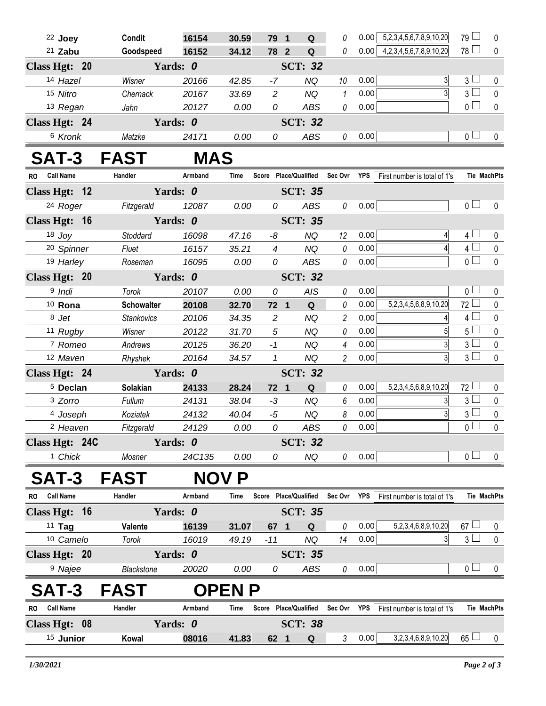| 22 Joey                                     | Condit                     | 16154    | 30.59          | 79 1                  |  | Q              | 0                                 | 0.00 | 5,2,3,4,5,6,7,8,9,10,20             | 79             | 0                  |  |
|---------------------------------------------|----------------------------|----------|----------------|-----------------------|--|----------------|-----------------------------------|------|-------------------------------------|----------------|--------------------|--|
| $21$ Zabu                                   | Goodspeed                  | 16152    | 34.12          | 78 2                  |  | ${\bf Q}$      | 0                                 |      | $0.00 \mid 4,2,3,4,5,6,7,8,9,10,20$ | $78\Box$       | $\mathbf 0$        |  |
| Class Hgt: 20<br>Yards: 0<br><b>SCT: 32</b> |                            |          |                |                       |  |                |                                   |      |                                     |                |                    |  |
| 14 Hazel                                    | Wisner                     | 20166    | 42.85          | $-7$                  |  | <b>NQ</b>      | 10                                | 0.00 | 3                                   | 3 <sub>1</sub> | 0                  |  |
| 15 Nitro                                    | Chernack                   | 20167    | 33.69          | $\overline{2}$        |  | <b>NQ</b>      | 1                                 | 0.00 |                                     | $3\Box$        | $\mathbf 0$        |  |
| 13 Regan                                    | Jahn                       | 20127    | 0.00           | 0                     |  | <b>ABS</b>     | $\it{0}$                          | 0.00 |                                     | $\overline{0}$ | $\mathbf 0$        |  |
| Class Hgt: 24                               |                            | Yards: 0 |                |                       |  | <b>SCT: 32</b> |                                   |      |                                     |                |                    |  |
| 6 Kronk                                     | Matzke                     | 24171    | 0.00           | 0                     |  | ABS            | $\theta$                          | 0.00 |                                     | 0 <sub>1</sub> | 0                  |  |
| SAT-3 FAST                                  | <b>MAS</b>                 |          |                |                       |  |                |                                   |      |                                     |                |                    |  |
| RO Call Name                                | Handler                    | Armband  | Time           |                       |  |                | Score Place/Qualified Sec Ovr YPS |      | First number is total of 1's        |                | <b>Tie MachPts</b> |  |
| Class Hgt: 12                               |                            | Yards: 0 | <b>SCT: 35</b> |                       |  |                |                                   |      |                                     |                |                    |  |
| 24 Roger                                    | Fitzgerald                 | 12087    | 0.00           | 0                     |  | ABS            | $\it{0}$                          | 0.00 |                                     | 0 <sub>0</sub> | $\mathbf 0$        |  |
| Class Hgt: 16                               | Yards: 0<br><b>SCT: 35</b> |          |                |                       |  |                |                                   |      |                                     |                |                    |  |
| $18$ Joy                                    | Stoddard                   | 16098    | 47.16          | -8                    |  | <b>NQ</b>      | 12                                | 0.00 | 4                                   | $4 \Box$       | 0                  |  |
| <sup>20</sup> Spinner                       | Fluet                      | 16157    | 35.21          | $\overline{4}$        |  | <b>NQ</b>      | $\theta$                          | 0.00 |                                     | $4\Box$        | $\mathbf 0$        |  |
| 19 Harley                                   | Roseman                    | 16095    | 0.00           | 0                     |  | <b>ABS</b>     | $\it{0}$                          | 0.00 |                                     | $\overline{0}$ | $\mathbf 0$        |  |
| Class Hgt: 20                               |                            | Yards: 0 |                | <b>SCT: 32</b>        |  |                |                                   |      |                                     |                |                    |  |
| <sup>9</sup> Indi                           | Torok                      | 20107    | 0.00           | 0                     |  | AIS            | 0                                 | 0.00 |                                     | 0 <sub>1</sub> | $\mathbf 0$        |  |
| $10$ Rona                                   | <b>Schowalter</b>          | 20108    | 32.70          | 72 1                  |  | $\mathbf Q$    | 0                                 | 0.00 | 5,2,3,4,5,6,8,9,10,20               | $72 -$         | 0                  |  |
| 8 Jet                                       | <b>Stankovics</b>          | 20106    | 34.35          | $\overline{c}$        |  | <b>NQ</b>      | $\overline{c}$                    | 0.00 | 4                                   | $4 \Box$       | $\pmb{0}$          |  |
| 11 Rugby                                    | Wisner                     | 20122    | 31.70          | $\sqrt{5}$            |  | <b>NQ</b>      | 0                                 | 0.00 | 5                                   | $5\iota$       | $\mathbf 0$        |  |
| 7 Romeo                                     | Andrews                    | 20125    | 36.20          | $-1$                  |  | <b>NQ</b>      | 4                                 | 0.00 | 3                                   | $3\sqcup$      | $\pmb{0}$          |  |
| 12 Maven                                    | Rhyshek                    | 20164    | 34.57          | $\mathbf{1}$          |  | <b>NQ</b>      | $\overline{c}$                    | 0.00 | $\overline{3}$                      | 3 <sub>1</sub> | $\mathbf 0$        |  |
| Class Hgt: 24                               |                            | Yards: 0 | <b>SCT: 32</b> |                       |  |                |                                   |      |                                     |                |                    |  |
| <sup>5</sup> Declan                         | Solakian                   | 24133    | 28.24          | $72 \quad 1$          |  | Q              | 0                                 | 0.00 | 5,2,3,4,5,6,8,9,10,20               | $72 \Box$      | 0                  |  |
| 3 Zorro                                     | Fullum                     | 24131    | 38.04          | $-3$                  |  | <b>NQ</b>      | 6                                 | 0.00 |                                     | $3\sqcup$      | $\mathbf 0$        |  |
| 4 Joseph                                    | Koziatek                   | 24132    | 40.04          | $-5$                  |  | <b>NQ</b>      | 8                                 | 0.00 | $\overline{3}$                      | $3\square$     | $\pmb{0}$          |  |
| 2 Heaven                                    | Fitzgerald                 | 24129    | 0.00           | 0                     |  | ABS            | 0                                 | 0.00 |                                     | 0 <sub>0</sub> | $\pmb{0}$          |  |
| Class Hgt: 24C                              |                            | Yards: 0 |                |                       |  | <b>SCT: 32</b> |                                   |      |                                     |                |                    |  |
| <sup>1</sup> Chick                          | Mosner                     | 24C135   | 0.00           | 0                     |  | NQ             | $\mathcal{O}$                     | 0.00 |                                     | 0 <sub>0</sub> | 0                  |  |
| <b>SAT-3</b>                                | <b>FAST</b>                |          | <b>NOV P</b>   |                       |  |                |                                   |      |                                     |                |                    |  |
| RO Call Name                                | Handler                    | Armband  | Time           | Score Place/Qualified |  |                | Sec Ovr YPS                       |      | First number is total of 1's        |                | <b>Tie MachPts</b> |  |
| Class Hgt: 16                               |                            | Yards: 0 |                |                       |  | <b>SCT: 35</b> |                                   |      |                                     |                |                    |  |
| $11$ Tag                                    | Valente                    | 16139    | 31.07          | 67 <sub>1</sub>       |  | Q              | 0                                 | 0.00 | 5,2,3,4,6,8,9,10,20                 | $67 \Box$      | $\mathbf 0$        |  |
| 10 Camelo                                   | Torok                      | 16019    | 49.19          | $-11$                 |  | NQ             | 14                                | 0.00 |                                     | $3\Box$        | $\mathbf 0$        |  |
| Class Hgt: 20                               |                            | Yards: 0 |                |                       |  | <b>SCT: 35</b> |                                   |      |                                     |                |                    |  |
| <sup>9</sup> Najee                          | Blackstone                 | 20020    | 0.00           | 0                     |  | ABS            | 0                                 | 0.00 |                                     | 0 <sub>1</sub> | 0                  |  |
| <b>SAT-3</b>                                | <b>FAST</b>                |          | <b>OPENP</b>   |                       |  |                |                                   |      |                                     |                |                    |  |
| <b>Call Name</b><br>RO                      | Handler                    | Armband  | Time           |                       |  |                | Score Place/Qualified Sec Ovr YPS |      | First number is total of 1's        |                | Tie MachPts        |  |
| Class Hgt: 08                               |                            | Yards: 0 | <b>SCT: 38</b> |                       |  |                |                                   |      |                                     |                |                    |  |
| 15 Junior                                   | Kowal                      | 08016    | 41.83          | 62 1                  |  | Q              | 3                                 | 0.00 | 3,2,3,4,6,8,9,10,20                 | $65 \Box$      | 0                  |  |